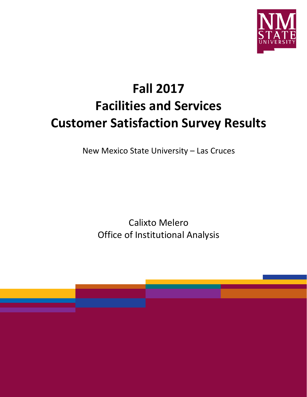

# **Fall 2017 Facilities and Services Customer Satisfaction Survey Results**

New Mexico State University – Las Cruces

Calixto Melero Office of Institutional Analysis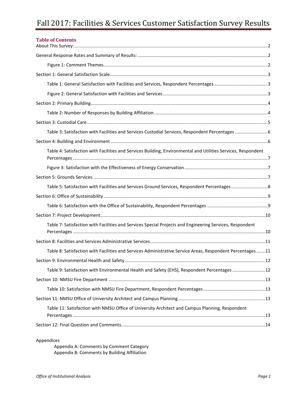# Fall 2017: Facilities & Services Customer Satisfaction Survey Results

| <b>Table of Contents</b>                                                                                      |  |
|---------------------------------------------------------------------------------------------------------------|--|
|                                                                                                               |  |
|                                                                                                               |  |
|                                                                                                               |  |
|                                                                                                               |  |
|                                                                                                               |  |
|                                                                                                               |  |
|                                                                                                               |  |
|                                                                                                               |  |
| Table 3: Satisfaction with Facilities and Services Custodial Services, Respondent Percentages 6               |  |
|                                                                                                               |  |
| Table 4: Satisfaction with Facilities and Services Building, Environmental and Utilities Services, Respondent |  |
|                                                                                                               |  |
|                                                                                                               |  |
| Table 5: Satisfaction with Facilities and Services Ground Services, Respondent Percentages8                   |  |
|                                                                                                               |  |
|                                                                                                               |  |
|                                                                                                               |  |
| Table 7: Satisfaction with Facilities and Services Special Projects and Engineering Services, Respondent      |  |
|                                                                                                               |  |
| Table 8: Satisfaction with Facilities and Services Administrative Service Areas, Respondent Percentages 11    |  |
|                                                                                                               |  |
| Table 9: Satisfaction with Environmental Health and Safety (EHS), Respondent Percentages 12                   |  |
|                                                                                                               |  |
|                                                                                                               |  |
|                                                                                                               |  |
| Table 11: Satisfaction with NMSU Office of University Architect and Campus Planning, Respondent               |  |
|                                                                                                               |  |

Appendices

Appendix A: Comments by Comment Category Appendix B: Comments by Building Affiliation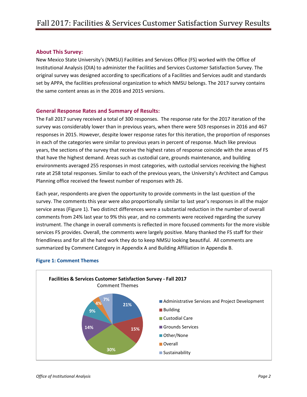# <span id="page-2-0"></span>**About This Survey:**

New Mexico State University's (NMSU) Facilities and Services Office (FS) worked with the Office of Institutional Analysis (OIA) to administer the Facilities and Services Customer Satisfaction Survey. The original survey was designed according to specifications of a Facilities and Services audit and standards set by APPA, the facilities professional organization to which NMSU belongs. The 2017 survey contains the same content areas as in the 2016 and 2015 versions.

#### <span id="page-2-1"></span>**General Response Rates and Summary of Results:**

The Fall 2017 survey received a total of 300 responses. The response rate for the 2017 iteration of the survey was considerably lower than in previous years, when there were 503 responses in 2016 and 467 responses in 2015. However, despite lower response rates for this iteration, the proportion of responses in each of the categories were similar to previous years in percent of response. Much like previous years, the sections of the survey that receive the highest rates of response coincide with the areas of FS that have the highest demand. Areas such as custodial care, grounds maintenance, and building environments averaged 255 responses in most categories, with custodial services receiving the highest rate at 258 total responses. Similar to each of the previous years, the University's Architect and Campus Planning office received the fewest number of responses with 26.

Each year, respondents are given the opportunity to provide comments in the last question of the survey. The comments this year were also proportionally similar to last year's responses in all the major service areas (Figure 1). Two distinct differences were a substantial reduction in the number of overall comments from 24% last year to 9% this year, and no comments were received regarding the survey instrument. The change in overall comments is reflected in more focused comments for the more visible services FS provides. Overall, the comments were largely positive. Many thanked the FS staff for their friendliness and for all the hard work they do to keep NMSU looking beautiful. All comments are summarized by Comment Category in Appendix A and Building Affiliation in Appendix B.



#### <span id="page-2-2"></span>**Figure 1: Comment Themes**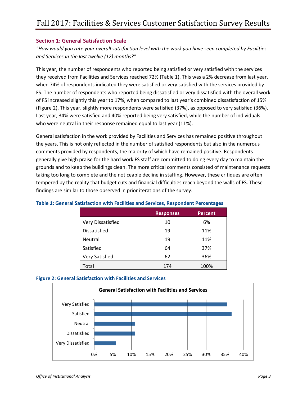# <span id="page-3-0"></span>**Section 1: General Satisfaction Scale**

*"How would you rate your overall satisfaction level with the work you have seen completed by Facilities and Services in the last twelve (12) months?"*

This year, the number of respondents who reported being satisfied or very satisfied with the services they received from Facilities and Services reached 72% (Table 1). This was a 2% decrease from last year, when 74% of respondents indicated they were satisfied or very satisfied with the services provided by FS. The number of respondents who reported being dissatisfied or very dissatisfied with the overall work of FS increased slightly this year to 17%, when compared to last year's combined dissatisfaction of 15% (Figure 2). This year, slightly more respondents were satisfied (37%), as opposed to very satisfied (36%). Last year, 34% were satisfied and 40% reported being very satisfied, while the number of individuals who were neutral in their response remained equal to last year (11%).

General satisfaction in the work provided by Facilities and Services has remained positive throughout the years. This is not only reflected in the number of satisfied respondents but also in the numerous comments provided by respondents, the majority of which have remained positive. Respondents generally give high praise for the hard work FS staff are committed to doing every day to maintain the grounds and to keep the buildings clean. The more critical comments consisted of maintenance requests taking too long to complete and the noticeable decline in staffing. However, these critiques are often tempered by the reality that budget cuts and financial difficulties reach beyond the walls of FS. These findings are similar to those observed in prior iterations of the survey.

|                     | <b>Responses</b> | <b>Percent</b> |
|---------------------|------------------|----------------|
| Very Dissatisfied   | 10               | 6%             |
| <b>Dissatisfied</b> | 19               | 11%            |
| <b>Neutral</b>      | 19               | 11%            |
| Satisfied           | 64               | 37%            |
| Very Satisfied      | 62               | 36%            |
| Total               | 174              | 100%           |

# <span id="page-3-1"></span>**Table 1: General Satisfaction with Facilities and Services, Respondent Percentages**

#### <span id="page-3-2"></span>**Figure 2: General Satisfaction with Facilities and Services**

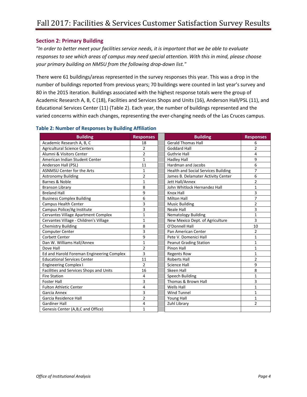# <span id="page-4-0"></span>**Section 2: Primary Building**

*"In order to better meet your facilities service needs, it is important that we be able to evaluate responses to see which areas of campus may need special attention. With this in mind, please choose your primary building on NMSU from the following drop-down list."* 

There were 61 buildings/areas represented in the survey responses this year. This was a drop in the number of buildings reported from previous years; 70 buildings were counted in last year's survey and 80 in the 2015 iteration. Buildings associated with the highest response totals were the group of Academic Research A, B, C (18), Facilities and Services Shops and Units (16), Anderson Hall/PSL (11), and Educational Services Center (11) (Table 2). Each year, the number of buildings represented and the varied concerns within each changes, representing the ever-changing needs of the Las Cruces campus.

<span id="page-4-2"></span>

| <b>Building</b>                           | <b>Responses</b> | <b>Building</b>                            | <b>Responses</b> |
|-------------------------------------------|------------------|--------------------------------------------|------------------|
| Academic Research A, B, C                 | 18               | <b>Gerald Thomas Hall</b>                  | 6                |
| <b>Agricultural Science Centers</b>       | $\overline{2}$   | Goddard Hall                               | $\overline{2}$   |
| Alumni & Visitors Center                  | $\overline{2}$   | <b>Guthrie Hall</b>                        | 4                |
| American Indian Student Center            | $\mathbf{1}$     | <b>Hadley Hall</b>                         | 9                |
| Anderson Hall (PSL)                       | 11               | <b>Hardman and Jacobs</b>                  | 6                |
| <b>ASNMSU Center for the Arts</b>         | $\mathbf{1}$     | <b>Health and Social Services Building</b> | $\overline{7}$   |
| <b>Astronomy Building</b>                 | $\overline{2}$   | James B. Delamater Activity Center         | 6                |
| Barnes & Noble                            | 1                | Jett Hall/Annex                            | $\overline{2}$   |
| <b>Branson Library</b>                    | 8                | John Whitlock Hernandez Hall               | $\mathbf{1}$     |
| <b>Breland Hall</b>                       | 9                | Knox Hall                                  | 3                |
| <b>Business Complex Building</b>          | 6                | <b>Milton Hall</b>                         | $\overline{7}$   |
| <b>Campus Health Center</b>               | $\overline{3}$   | <b>Music Building</b>                      | $\overline{2}$   |
| Campus Police/Ag Institute                | 3                | Neale Hall                                 | 3                |
| Cervantes Village Apartment Complex       | $\mathbf{1}$     | <b>Nematology Building</b>                 | $\mathbf{1}$     |
| Cervantes Village - Children's Village    | 1                | New Mexico Dept. of Agriculture            | 3                |
| <b>Chemistry Building</b>                 | 8                | O'Donnell Hall                             | 10               |
| <b>Computer Center</b>                    | 3                | Pan American Center                        | 2                |
| <b>Corbett Center</b>                     | 9                | Pete V. Domenici Hall                      | 1                |
| Dan W. Williams Hall/Annex                | $\mathbf{1}$     | <b>Peanut Grading Station</b>              | 1                |
| Dove Hall                                 | $\overline{2}$   | Pinon Hall                                 | $\mathbf{1}$     |
| Ed and Harold Foreman Engineering Complex | 3                | <b>Regents Row</b>                         | $\mathbf{1}$     |
| <b>Educational Services Center</b>        | 11               | <b>Roberts Hall</b>                        | $\overline{2}$   |
| <b>Engineering Complex I</b>              | $\overline{2}$   | <b>Science Hall</b>                        | 9                |
| Facilities and Services Shops and Units   | 16               | Skeen Hall                                 | 8                |
| <b>Fire Station</b>                       | 4                | Speech Building                            | $\mathbf{1}$     |
| <b>Foster Hall</b>                        | 3                | Thomas & Brown Hall                        | 3                |
| <b>Fulton Athletic Center</b>             | 4                | Wells Hall                                 | $\mathbf{1}$     |
| Garcia Annex                              | $\overline{3}$   | <b>Wind Tunnel</b>                         | $\mathbf{1}$     |
| Garcia Residence Hall                     | $\overline{2}$   | <b>Young Hall</b>                          | $\mathbf{1}$     |
| <b>Gardiner Hall</b>                      | 4                | Zuhl Library                               | $\overline{2}$   |
| Genesis Center (A, B, C and Office)       | $\mathbf{1}$     |                                            |                  |

# <span id="page-4-1"></span>**Table 2: Number of Responses by Building Affiliation**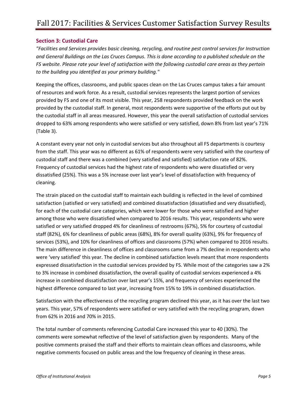# **Section 3: Custodial Care**

*"Facilities and Services provides basic cleaning, recycling, and routine pest control services for Instruction and General Buildings on the Las Cruces Campus. This is done according to a published schedule on the FS website. Please rate your level of satisfaction with the following custodial care areas as they pertain to the building you identified as your primary building."*

Keeping the offices, classrooms, and public spaces clean on the Las Cruces campus takes a fair amount of resources and work force. As a result, custodial services represents the largest portion of services provided by FS and one of its most visible. This year, 258 respondents provided feedback on the work provided by the custodial staff. In general, most respondents were supportive of the efforts put out by the custodial staff in all areas measured. However, this year the overall satisfaction of custodial services dropped to 63% among respondents who were satisfied or very satisfied, down 8% from last year's 71% (Table 3).

A constant every year not only in custodial services but also throughout all FS departments is courtesy from the staff. This year was no different as 61% of respondents were very satisfied with the courtesy of custodial staff and there was a combined (very satisfied and satisfied) satisfaction rate of 82%. Frequency of custodial services had the highest rate of respondents who were dissatisfied or very dissatisfied (25%). This was a 5% increase over last year's level of dissatisfaction with frequency of cleaning.

The strain placed on the custodial staff to maintain each building is reflected in the level of combined satisfaction (satisfied or very satisfied) and combined dissatisfaction (dissatisfied and very dissatisfied), for each of the custodial care categories, which were lower for those who were satisfied and higher among those who were dissatisfied when compared to 2016 results. This year, respondents who were satisfied or very satisfied dropped 4% for cleanliness of restrooms (67%), 5% for courtesy of custodial staff (82%), 6% for cleanliness of public areas (68%), 8% for overall quality (63%), 9% for frequency of services (53%), and 10% for cleanliness of offices and classrooms (57%) when compared to 2016 results. The main difference in cleanliness of offices and classrooms came from a 7% decline in respondents who were 'very satisfied' this year. The decline in combined satisfaction levels meant that more respondents expressed dissatisfaction in the custodial services provided by FS. While most of the categories saw a 2% to 3% increase in combined dissatisfaction, the overall quality of custodial services experienced a 4% increase in combined dissatisfaction over last year's 15%, and frequency of services experienced the highest difference compared to last year, increasing from 15% to 19% in combined dissatisfaction.

Satisfaction with the effectiveness of the recycling program declined this year, as it has over the last two years. This year, 57% of respondents were satisfied or very satisfied with the recycling program, down from 62% in 2016 and 70% in 2015.

The total number of comments referencing Custodial Care increased this year to 40 (30%). The comments were somewhat reflective of the level of satisfaction given by respondents. Many of the positive comments praised the staff and their efforts to maintain clean offices and classrooms, while negative comments focused on public areas and the low frequency of cleaning in these areas.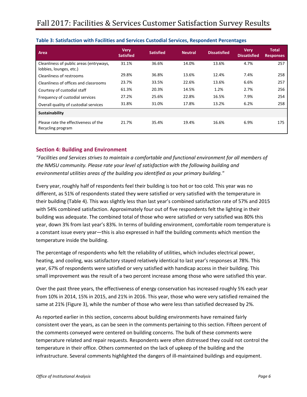| Area                                                               | <b>Very</b><br><b>Satisfied</b> | <b>Satisfied</b> | <b>Neutral</b> | <b>Dissatisfied</b> | <b>Very</b><br><b>Dissatisfied</b> | Total<br><b>Responses</b> |
|--------------------------------------------------------------------|---------------------------------|------------------|----------------|---------------------|------------------------------------|---------------------------|
| Cleanliness of public areas (entryways,<br>lobbies, lounges, etc.) | 31.1%                           | 36.6%            | 14.0%          | 13.6%               | 4.7%                               | 257                       |
| Cleanliness of restrooms                                           | 29.8%                           | 36.8%            | 13.6%          | 12.4%               | 7.4%                               | 258                       |
| Cleanliness of offices and classrooms                              | 23.7%                           | 33.5%            | 22.6%          | 13.6%               | 6.6%                               | 257                       |
| Courtesy of custodial staff                                        | 61.3%                           | 20.3%            | 14.5%          | 1.2%                | 2.7%                               | 256                       |
| Frequency of custodial services                                    | 27.2%                           | 25.6%            | 22.8%          | 16.5%               | 7.9%                               | 254                       |
| Overall quality of custodial services                              | 31.8%                           | 31.0%            | 17.8%          | 13.2%               | 6.2%                               | 258                       |
| Sustainability                                                     |                                 |                  |                |                     |                                    |                           |
| Please rate the effectiveness of the<br>Recycling program          | 21.7%                           | 35.4%            | 19.4%          | 16.6%               | 6.9%                               | 175                       |

# <span id="page-6-0"></span>**Table 3: Satisfaction with Facilities and Services Custodial Services, Respondent Percentages**

# <span id="page-6-1"></span>**Section 4: Building and Environment**

*"Facilities and Services strives to maintain a comfortable and functional environment for all members of the NMSU community. Please rate your level of satisfaction with the following building and environmental utilities areas of the building you identified as your primary building."*

Every year, roughly half of respondents feel their building is too hot or too cold. This year was no different, as 51% of respondents stated they were satisfied or very satisfied with the temperature in their building (Table 4). This was slightly less than last year's combined satisfaction rate of 57% and 2015 with 54% combined satisfaction. Approximately four out of five respondents felt the lighting in their building was adequate. The combined total of those who were satisfied or very satisfied was 80% this year, down 3% from last year's 83%. In terms of building environment, comfortable room temperature is a constant issue every year—this is also expressed in half the building comments which mention the temperature inside the building.

The percentage of respondents who felt the reliability of utilities, which includes electrical power, heating, and cooling, was satisfactory stayed relatively identical to last year's responses at 78%. This year, 67% of respondents were satisfied or very satisfied with handicap access in their building. This small improvement was the result of a two percent increase among those who were satisfied this year.

Over the past three years, the effectiveness of energy conservation has increased roughly 5% each year from 10% in 2014, 15% in 2015, and 21% in 2016. This year, those who were very satisfied remained the same at 21% (Figure 3), while the number of those who were less than satisfied decreased by 2%.

As reported earlier in this section, concerns about building environments have remained fairly consistent over the years, as can be seen in the comments pertaining to this section. Fifteen percent of the comments conveyed were centered on building concerns. The bulk of these comments were temperature related and repair requests. Respondents were often distressed they could not control the temperature in their office. Others commented on the lack of upkeep of the building and the infrastructure. Several comments highlighted the dangers of ill-maintained buildings and equipment.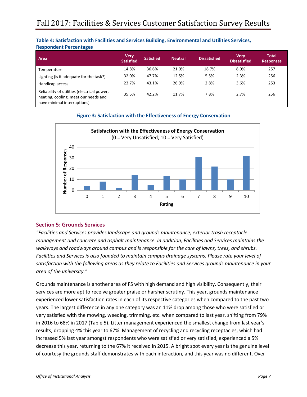# <span id="page-7-0"></span>**Table 4: Satisfaction with Facilities and Services Building, Environmental and Utilities Services, Respondent Percentages**

| Area                                                                                                               | <b>Very</b><br><b>Satisfied</b> | <b>Satisfied</b> | <b>Neutral</b> | <b>Dissatisfied</b> | <b>Very</b><br><b>Dissatisfied</b> | <b>Total</b><br><b>Responses</b> |
|--------------------------------------------------------------------------------------------------------------------|---------------------------------|------------------|----------------|---------------------|------------------------------------|----------------------------------|
| Temperature                                                                                                        | 14.8%                           | 36.6%            | 21.0%          | 18.7%               | 8.9%                               | 257                              |
| Lighting (is it adequate for the task?)                                                                            | 32.0%                           | 47.7%            | 12.5%          | 5.5%                | 2.3%                               | 256                              |
| Handicap access                                                                                                    | 23.7%                           | 43.1%            | 26.9%          | 2.8%                | 3.6%                               | 253                              |
| Reliability of utilities (electrical power,<br>heating, cooling, meet our needs and<br>have minimal interruptions) | 35.5%                           | 42.2%            | 11.7%          | 7.8%                | 2.7%                               | 256                              |

# **Figure 3: Satisfaction with the Effectiveness of Energy Conservation**

<span id="page-7-1"></span>

#### <span id="page-7-2"></span>**Section 5: Grounds Services**

*"Facilities and Services provides landscape and grounds maintenance, exterior trash receptacle management and concrete and asphalt maintenance. In addition, Facilities and Services maintains the walkways and roadways around campus and is responsible for the care of lawns, trees, and shrubs. Facilities and Services is also founded to maintain campus drainage systems. Please rate your level of satisfaction with the following areas as they relate to Facilities and Services grounds maintenance in your area of the university."*

Grounds maintenance is another area of FS with high demand and high visibility. Consequently, their services are more apt to receive greater praise or harsher scrutiny. This year, grounds maintenance experienced lower satisfaction rates in each of its respective categories when compared to the past two years. The largest difference in any one category was an 11% drop among those who were satisfied or very satisfied with the mowing, weeding, trimming, etc. when compared to last year, shifting from 79% in 2016 to 68% in 2017 (Table 5). Litter management experienced the smallest change from last year's results, dropping 4% this year to 67%. Management of recycling and recycling receptacles, which had increased 5% last year amongst respondents who were satisfied or very satisfied, experienced a 5% decrease this year, returning to the 67% it received in 2015. A bright spot every year is the genuine level of courtesy the grounds staff demonstrates with each interaction, and this year was no different. Over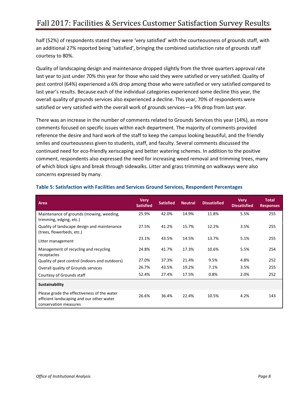half (52%) of respondents stated they were 'very satisfied' with the courteousness of grounds staff, with an additional 27% reported being 'satisfied', bringing the combined satisfaction rate of grounds staff courtesy to 80%.

Quality of landscaping design and maintenance dropped slightly from the three quarters approval rate last year to just under 70% this year for those who said they were satisfied or very satisfied. Quality of pest control (64%) experienced a 6% drop among those who were satisfied or very satisfied compared to last year's results. Because each of the individual categories experienced some decline this year, the overall quality of grounds services also experienced a decline. This year, 70% of respondents were satisfied or very satisfied with the overall work of grounds services—a 9% drop from last year.

There was an increase in the number of comments related to Grounds Services this year (14%), as more comments focused on specific issues within each department. The majority of comments provided reference the desire and hard work of the staff to keep the campus looking beautiful, and the friendly smiles and courteousness given to students, staff, and faculty. Several comments discussed the continued need for eco-friendly xeriscaping and better watering schemes. In addition to the positive comment, respondents also expressed the need for increasing weed removal and trimming trees, many of which block signs and break through sidewalks. Litter and grass trimming on walkways were also concerns expressed by many.

| Area                                                                                                              | <b>Very</b><br><b>Satisfied</b> | <b>Satisfied</b> | <b>Neutral</b> | <b>Dissatisfied</b> | <b>Very</b><br><b>Dissatisfied</b> | Total<br><b>Responses</b> |
|-------------------------------------------------------------------------------------------------------------------|---------------------------------|------------------|----------------|---------------------|------------------------------------|---------------------------|
| Maintenance of grounds (mowing, weeding,<br>trimming, edging, etc.)                                               | 25.9%                           | 42.0%            | 14.9%          | 11.8%               | 5.5%                               | 255                       |
| Quality of landscape design and maintenance<br>(trees, flowerbeds, etc.)                                          | 27.5%                           | 41.2%            | 15.7%          | 12.2%               | 3.5%                               | 255                       |
| Litter management                                                                                                 | 23.1%                           | 43.5%            | 14.5%          | 13.7%               | 5.1%                               | 255                       |
| Management of recycling and recycling<br>receptacles                                                              | 24.8%                           | 41.7%            | 17.3%          | 10.6%               | 5.5%                               | 254                       |
| Quality of pest control (indoors and outdoors)                                                                    | 27.0%                           | 37.3%            | 21.4%          | 9.5%                | 4.8%                               | 252                       |
| Overall quality of Grounds services                                                                               | 26.7%                           | 43.5%            | 19.2%          | 7.1%                | 3.5%                               | 255                       |
| Courtesy of Grounds staff                                                                                         | 52.4%                           | 27.4%            | 17.5%          | 0.8%                | 2.0%                               | 252                       |
| <b>Sustainability</b>                                                                                             |                                 |                  |                |                     |                                    |                           |
| Please grade the effectiveness of the water<br>efficient landscaping and our other water<br>conservation measures | 26.6%                           | 36.4%            | 22.4%          | 10.5%               | 4.2%                               | 143                       |

#### <span id="page-8-0"></span>**Table 5: Satisfaction with Facilities and Services Ground Services, Respondent Percentages**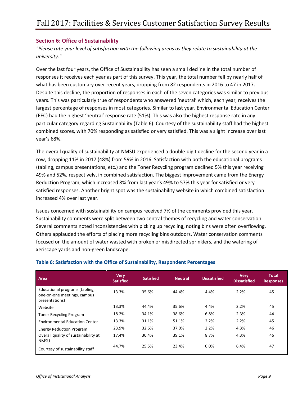# <span id="page-9-0"></span>**Section 6: Office of Sustainability**

*"Please rate your level of satisfaction with the following areas as they relate to sustainability at the university."*

Over the last four years, the Office of Sustainability has seen a small decline in the total number of responses it receives each year as part of this survey. This year, the total number fell by nearly half of what has been customary over recent years, dropping from 82 respondents in 2016 to 47 in 2017. Despite this decline, the proportion of responses in each of the seven categories was similar to previous years. This was particularly true of respondents who answered 'neutral' which, each year, receives the largest percentage of responses in most categories. Similar to last year, Environmental Education Center (EEC) had the highest 'neutral' response rate (51%). This was also the highest response rate in any particular category regarding Sustainability (Table 6). Courtesy of the sustainability staff had the highest combined scores, with 70% responding as satisfied or very satisfied. This was a slight increase over last year's 68%.

The overall quality of sustainability at NMSU experienced a double-digit decline for the second year in a row, dropping 11% in 2017 (48%) from 59% in 2016. Satisfaction with both the educational programs (tabling, campus presentations, etc.) and the Toner Recycling program declined 5% this year receiving 49% and 52%, respectively, in combined satisfaction. The biggest improvement came from the Energy Reduction Program, which increased 8% from last year's 49% to 57% this year for satisfied or very satisfied responses. Another bright spot was the sustainability website in which combined satisfaction increased 4% over last year.

Issues concerned with sustainability on campus received 7% of the comments provided this year. Sustainability comments were split between two central themes of recycling and water conservation. Several comments noted inconsistencies with picking up recycling, noting bins were often overflowing. Others applauded the efforts of placing more recycling bins outdoors. Water conservation comments focused on the amount of water wasted with broken or misdirected sprinklers, and the watering of xeriscape yards and non-green landscape.

| Area                                                                            | <b>Very</b><br><b>Satisfied</b> | <b>Satisfied</b> | <b>Neutral</b> | <b>Dissatisfied</b> | <b>Very</b><br><b>Dissatisfied</b> | <b>Total</b><br><b>Responses</b> |
|---------------------------------------------------------------------------------|---------------------------------|------------------|----------------|---------------------|------------------------------------|----------------------------------|
| Educational programs (tabling,<br>one-on-one meetings, campus<br>presentations) | 13.3%                           | 35.6%            | 44.4%          | 4.4%                | 2.2%                               | 45                               |
| Website                                                                         | 13.3%                           | 44.4%            | 35.6%          | 4.4%                | 2.2%                               | 45                               |
| <b>Toner Recycling Program</b>                                                  | 18.2%                           | 34.1%            | 38.6%          | 6.8%                | 2.3%                               | 44                               |
| <b>Environmental Education Center</b>                                           | 13.3%                           | 31.1%            | 51.1%          | 2.2%                | 2.2%                               | 45                               |
| <b>Energy Reduction Program</b>                                                 | 23.9%                           | 32.6%            | 37.0%          | 2.2%                | 4.3%                               | 46                               |
| Overall quality of sustainability at<br><b>NMSU</b>                             | 17.4%                           | 30.4%            | 39.1%          | 8.7%                | 4.3%                               | 46                               |
| Courtesy of sustainability staff                                                | 44.7%                           | 25.5%            | 23.4%          | 0.0%                | 6.4%                               | 47                               |

#### <span id="page-9-1"></span>**Table 6: Satisfaction with the Office of Sustainability, Respondent Percentages**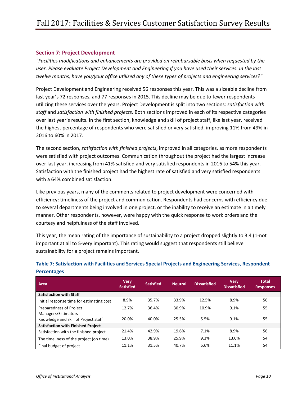# <span id="page-10-0"></span>**Section 7: Project Development**

*"Facilities modifications and enhancements are provided on reimbursable basis when requested by the user. Please evaluate Project Development and Engineering if you have used their services. In the last twelve months, have you/your office utilized any of these types of projects and engineering services?"*

Project Development and Engineering received 56 responses this year. This was a sizeable decline from last year's 72 responses, and 77 responses in 2015. This decline may be due to fewer respondents utilizing these services over the years. Project Development is split into two sections: *satisfaction with staff* and *satisfaction with finished projects.* Both sections improved in each of its respective categories over last year's results. In the first section, knowledge and skill of project staff, like last year, received the highest percentage of respondents who were satisfied or very satisfied, improving 11% from 49% in 2016 to 60% in 2017.

The second section, *satisfaction with finished projects*, improved in all categories, as more respondents were satisfied with project outcomes. Communication throughout the project had the largest increase over last year, increasing from 41% satisfied and very satisfied respondents in 2016 to 54% this year. Satisfaction with the finished project had the highest rate of satisfied and very satisfied respondents with a 64% combined satisfaction.

Like previous years, many of the comments related to project development were concerned with efficiency: timeliness of the project and communication. Respondents had concerns with efficiency due to several departments being involved in one project, or the inability to receive an estimate in a timely manner. Other respondents, however, were happy with the quick response to work orders and the courtesy and helpfulness of the staff involved.

This year, the mean rating of the importance of sustainability to a project dropped slightly to 3.4 (1-not important at all to 5-very important). This rating would suggest that respondents still believe sustainability for a project remains important.

| Area                                           | Very<br><b>Satisfied</b> | <b>Satisfied</b> | <b>Neutral</b> | <b>Dissatisfied</b> | <b>Very</b><br><b>Dissatisfied</b> | <b>Total</b><br><b>Responses</b> |
|------------------------------------------------|--------------------------|------------------|----------------|---------------------|------------------------------------|----------------------------------|
| <b>Satisfaction with Staff</b>                 |                          |                  |                |                     |                                    |                                  |
| Initial response time for estimating cost      | 8.9%                     | 35.7%            | 33.9%          | 12.5%               | 8.9%                               | 56                               |
| Preparedness of Project<br>Managers/Estimators | 12.7%                    | 36.4%            | 30.9%          | 10.9%               | 9.1%                               | 55                               |
| Knowledge and skill of Project staff           | 20.0%                    | 40.0%            | 25.5%          | 5.5%                | 9.1%                               | 55                               |
| <b>Satisfaction with Finished Project</b>      |                          |                  |                |                     |                                    |                                  |
| Satisfaction with the finished project         | 21.4%                    | 42.9%            | 19.6%          | 7.1%                | 8.9%                               | 56                               |
| The timeliness of the project (on time)        | 13.0%                    | 38.9%            | 25.9%          | 9.3%                | 13.0%                              | 54                               |
| Final budget of project                        | 11.1%                    | 31.5%            | 40.7%          | 5.6%                | 11.1%                              | 54                               |

# <span id="page-10-1"></span>**Table 7: Satisfaction with Facilities and Services Special Projects and Engineering Services, Respondent Percentages**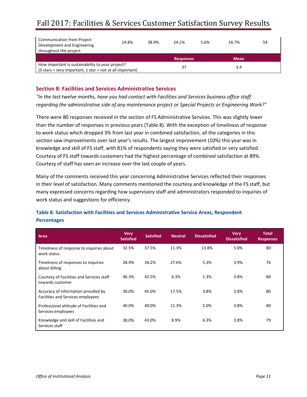# Fall 2017: Facilities & Services Customer Satisfaction Survey Results

| 14.8%                                                                                                                                         | 38.9% | 24.1% | 5.6% | 16.7%            | 54 |
|-----------------------------------------------------------------------------------------------------------------------------------------------|-------|-------|------|------------------|----|
|                                                                                                                                               |       |       |      | <b>Mean</b>      |    |
| How important is sustainability to your project?<br>$(5 \text{ stars} = \text{very important}, 1 \text{ star} = \text{not at all important})$ |       | 37    |      | 3.4              |    |
|                                                                                                                                               |       |       |      | <b>Responses</b> |    |

#### <span id="page-11-0"></span>**Section 8: Facilities and Services Administrative Services**

*"In the last twelve months, have you had contact with Facilities and Services business office staff regarding the administrative side of any maintenance project or Special Projects or Engineering Work?"*

There were 80 responses received in the section of FS Administrative Services. This was slightly lower than the number of responses in previous years (Table 8). With the exception of timeliness of response to work status which dropped 3% from last year in combined satisfaction, all the categories in this section saw improvements over last year's results. The largest improvement (10%) this year was in knowledge and skill of FS staff, with 81% of respondents saying they were satisfied or very satisfied. Courtesy of FS staff towards customers had the highest percentage of combined satisfaction at 89%. Courtesy of staff has seen an increase over the last couple of years.

Many of the comments received this year concerning Administrative Services reflected their responses in their level of satisfaction. Many comments mentioned the courtesy and knowledge of the FS staff, but many expressed concerns regarding how supervisory staff and administrators responded to inquiries of work status and suggestions for efficiency.

# <span id="page-11-1"></span>**Table 8: Satisfaction with Facilities and Services Administrative Service Areas, Respondent Percentages**

| Area                                                                     | <b>Very</b><br><b>Satisfied</b> | <b>Satisfied</b> | <b>Neutral</b> | <b>Dissatisfied</b> | <b>Very</b><br><b>Dissatisfied</b> | <b>Total</b><br><b>Responses</b> |
|--------------------------------------------------------------------------|---------------------------------|------------------|----------------|---------------------|------------------------------------|----------------------------------|
| Timeliness of response to inquiries about<br>work status                 | 32.5%                           | 37.5%            | 11.3%          | 13.8%               | 5.0%                               | 80                               |
| Timeliness of responses to inquiries<br>about billing                    | 28.9%                           | 34.2%            | 27.6%          | 5.3%                | 3.9%                               | 76                               |
| Courtesy of Facilities and Services staff<br>towards customer            | 46.3%                           | 42.5%            | 6.3%           | 1.3%                | 3.8%                               | 80                               |
| Accuracy of information provided by<br>Facilities and Services employees | 30.0%                           | 45.0%            | 17.5%          | 3.8%                | 3.8%                               | 80                               |
| Professional attitude of Facilities and<br>Services employees            | 40.0%                           | 40.0%            | 11.3%          | 5.0%                | 3.8%                               | 80                               |
| Knowledge and skill of Facilities and<br>Services staff                  | 38.0%                           | 43.0%            | 8.9%           | 6.3%                | 3.8%                               | 79                               |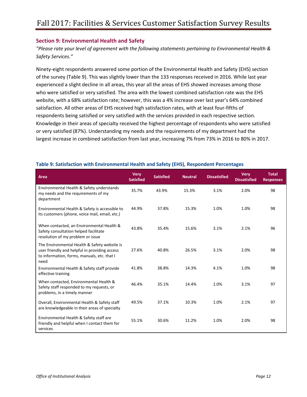# <span id="page-12-0"></span>**Section 9: Environmental Health and Safety**

*"Please rate your level of agreement with the following statements pertaining to Environmental Health & Safety Services."*

Ninety-eight respondents answered some portion of the Environmental Health and Safety (EHS) section of the survey (Table 9). This was slightly lower than the 133 responses received in 2016. While last year experienced a slight decline in all areas, this year all the areas of EHS showed increases among those who were satisfied or very satisfied. The area with the lowest combined satisfaction rate was the EHS website, with a 68% satisfaction rate; however, this was a 4% increase over last year's 64% combined satisfaction. All other areas of EHS received high satisfaction rates, with at least four-fifths of respondents being satisfied or very satisfied with the services provided in each respective section. Knowledge in their areas of specialty received the highest percentage of respondents who were satisfied or very satisfied (87%). Understanding my needs and the requirements of my department had the largest increase in combined satisfaction from last year, increasing 7% from 73% in 2016 to 80% in 2017.

| Area                                                                                                                                                 | <b>Very</b><br><b>Satisfied</b> | <b>Satisfied</b> | <b>Neutral</b> | <b>Dissatisfied</b> | <b>Very</b><br><b>Dissatisfied</b> | <b>Total</b><br><b>Responses</b> |
|------------------------------------------------------------------------------------------------------------------------------------------------------|---------------------------------|------------------|----------------|---------------------|------------------------------------|----------------------------------|
| Environmental Health & Safety understands<br>my needs and the requirements of my<br>department                                                       | 35.7%                           | 43.9%            | 15.3%          | 3.1%                | 2.0%                               | 98                               |
| Environmental Health & Safety is accessible to<br>its customers (phone, voice mail, email, etc.)                                                     | 44.9%                           | 37.8%            | 15.3%          | 1.0%                | 1.0%                               | 98                               |
| When contacted, an Environmental Health &<br>Safety consultation helped facilitate<br>resolution of my problem or issue                              | 43.8%                           | 35.4%            | 15.6%          | 3.1%                | 2.1%                               | 96                               |
| The Environmental Health & Safety website is<br>user friendly and helpful in providing access<br>to information, forms, manuals, etc. that I<br>need | 27.6%                           | 40.8%            | 26.5%          | 3.1%                | 2.0%                               | 98                               |
| Environmental Health & Safety staff provide<br>effective training                                                                                    | 41.8%                           | 38.8%            | 14.3%          | 4.1%                | 1.0%                               | 98                               |
| When contacted, Environmental Health &<br>Safety staff responded to my requests, or<br>problems, in a timely manner                                  | 46.4%                           | 35.1%            | 14.4%          | 1.0%                | 3.1%                               | 97                               |
| Overall, Environmental Health & Safety staff<br>are knowledgeable in their areas of specialty                                                        | 49.5%                           | 37.1%            | 10.3%          | 1.0%                | 2.1%                               | 97                               |
| Environmental Health & Safety staff are<br>friendly and helpful when I contact them for<br>services                                                  | 55.1%                           | 30.6%            | 11.2%          | 1.0%                | 2.0%                               | 98                               |

#### <span id="page-12-1"></span>**Table 9: Satisfaction with Environmental Health and Safety (EHS), Respondent Percentages**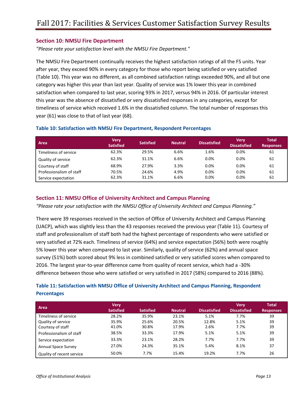# <span id="page-13-0"></span>**Section 10: NMSU Fire Department**

*"Please rate your satisfaction level with the NMSU Fire Department."*

The NMSU Fire Department continually receives the highest satisfaction ratings of all the FS units. Year after year, they exceed 90% in every category for those who report being satisfied or very satisfied (Table 10). This year was no different, as all combined satisfaction ratings exceeded 90%, and all but one category was higher this year than last year. Quality of service was 1% lower this year in combined satisfaction when compared to last year, scoring 93% in 2017, versus 94% in 2016. Of particular interest this year was the absence of dissatisfied or very dissatisfied responses in any categories, except for timeliness of service which received 1.6% in the dissatisfied column. The total number of responses this year (61) was close to that of last year (68).

| Area                     | <b>Very</b><br><b>Satisfied</b> | <b>Satisfied</b> | <b>Neutral</b> | <b>Dissatisfied</b> | <b>Verv</b><br><b>Dissatisfied</b> | <b>Total</b><br><b>Responses</b> |
|--------------------------|---------------------------------|------------------|----------------|---------------------|------------------------------------|----------------------------------|
| Timeliness of service    | 62.3%                           | 29.5%            | 6.6%           | 1.6%                | 0.0%                               | 61                               |
| Quality of service       | 62.3%                           | 31.1%            | 6.6%           | 0.0%                | 0.0%                               | 61                               |
| Courtesy of staff        | 68.9%                           | 27.9%            | 3.3%           | 0.0%                | 0.0%                               | 61                               |
| Professionalism of staff | 70.5%                           | 24.6%            | 4.9%           | 0.0%                | 0.0%                               | 61                               |
| Service expectation      | 62.3%                           | 31.1%            | 6.6%           | 0.0%                | 0.0%                               | 61                               |

#### <span id="page-13-1"></span>**Table 10: Satisfaction with NMSU Fire Department, Respondent Percentages**

# <span id="page-13-2"></span>**Section 11: NMSU Office of University Architect and Campus Planning**

*"Please rate your satisfaction with the NMSU Office of University Architect and Campus Planning."*

There were 39 responses received in the section of Office of University Architect and Campus Planning (UACP), which was slightly less than the 43 responses received the previous year (Table 11). Courtesy of staff and professionalism of staff both had the highest percentage of respondents who were satisfied or very satisfied at 72% each. Timeliness of service (64%) and service expectation (56%) both were roughly 5% lower this year when compared to last year. Similarly, quality of service (62%) and annual space survey (51%) both scored about 9% less in combined satisfied or very satisfied scores when compared to 2016. The largest year-to-year difference came from quality of recent service, which had a -30% difference between those who were satisfied or very satisfied in 2017 (58%) compared to 2016 (88%).

# <span id="page-13-3"></span>**Table 11: Satisfaction with NMSU Office of University Architect and Campus Planning, Respondent Percentages**

| Area                       | <b>Verv</b><br><b>Satisfied</b> | <b>Satisfied</b> | <b>Neutral</b> | <b>Dissatisfied</b> | <b>Very</b><br><b>Dissatisfied</b> | <b>Total</b><br><b>Responses</b> |
|----------------------------|---------------------------------|------------------|----------------|---------------------|------------------------------------|----------------------------------|
| Timeliness of service      | 28.2%                           | 35.9%            | 23.1%          | 5.1%                | 7.7%                               | 39                               |
| Quality of service         | 35.9%                           | 25.6%            | 20.5%          | 12.8%               | 5.1%                               | 39                               |
| Courtesy of staff          | 41.0%                           | 30.8%            | 17.9%          | 2.6%                | 7.7%                               | 39                               |
| Professionalism of staff   | 38.5%                           | 33.3%            | 17.9%          | 5.1%                | 5.1%                               | 39                               |
| Service expectation        | 33.3%                           | 23.1%            | 28.2%          | 7.7%                | 7.7%                               | 39                               |
| <b>Annual Space Survey</b> | 27.0%                           | 24.3%            | 35.1%          | 5.4%                | 8.1%                               | 37                               |
| Quality of recent service  | 50.0%                           | 7.7%             | 15.4%          | 19.2%               | 7.7%                               | 26                               |